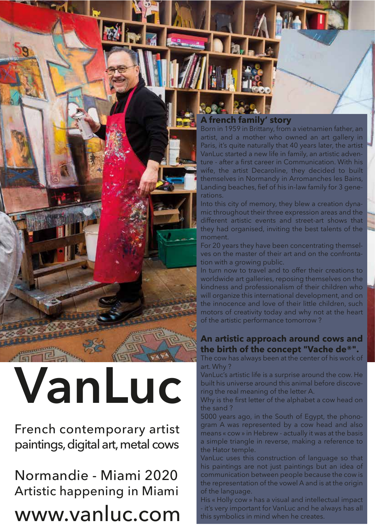#### **A french family' story**

Born in 1959 in Brittany, from a vietnamien father, an artist, and a mother who owned an art gallery in Paris, it's quite naturally that 40 years later, the artist VanLuc started a new life in family, an artistic adventure - after a first career in Communication. With his wife, the artist Decaroline, they decided to built themselves in Normandy in Arromanches les Bains, Landing beaches, fief of his in-law family for 3 generations.

Into this city of memory, they blew a creation dynamic throughout their three expression areas and the different artistic events and street-art shows that they had organised, inviting the best talents of the moment.

For 20 years they have been concentrating themselves on the master of their art and on the confrontation with a growing public.

In turn now to travel and to offer their creations to worldwide art galleries, reposing themselves on the kindness and professionalism of their children who will organize this international development, and on the innocence and love of their little children, such motors of creativity today and why not at the heart of the artistic performance tomorrow ?

#### **An artistic approach around cows and the birth of the concept "Vache de®".**

The cow has always been at the center of his work of art. Why ?

VanLuc's artistic life is a surprise around the cow. He built his universe around this animal before discovering the real meaning of the letter A.

Why is the first letter of the alphabet a cow head on the sand ?

5000 years ago, in the South of Egypt, the phonogram A was represented by a cow head and also means « cow » in Hebrew - actually it was at the basis a simple triangle in reverse, making a reference to the Hator temple.

VanLuc uses this construction of language so that his paintings are not just paintings but an idea of communication between people because the cow is the representation of the vowel A and is at the origin of the language.

His « Holly cow » has a visual and intellectual impact - it's very important for VanLuc and he always has all this symbolics in mind when he creates.

**VanLuc**

French contemporary artist paintings, digital art, metal cows

Normandie - Miami 2020 Artistic happening in Miami

#### www.vanluc.com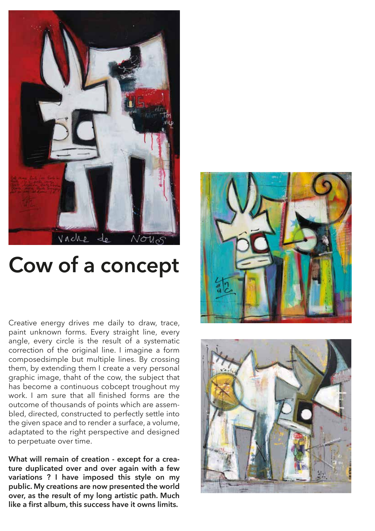

### **Cow of a concept**

Creative energy drives me daily to draw, trace, paint unknown forms. Every straight line, every angle, every circle is the result of a systematic correction of the original line. I imagine a form composedsimple but multiple lines. By crossing them, by extending them I create a very personal graphic image, thaht of the cow, the subject that has become a continuous cobcept troughout my work. I am sure that all finished forms are the outcome of thousands of points which are assembled, directed, constructed to perfectly settle into the given space and to render a surface, a volume, adaptated to the right perspective and designed to perpetuate over time.

**What will remain of creation - except for a creature duplicated over and over again with a few variations ? I have imposed this style on my public. My creations are now presented the world over, as the result of my long artistic path. Much like a first album, this success have it owns limits.** 



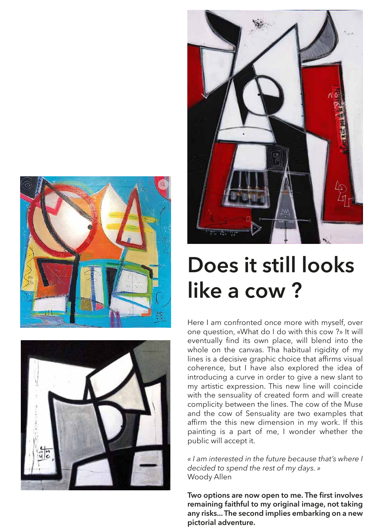





### **Does it still looks like a cow ?**

Here I am confronted once more with myself, over one question, «What do I do with this cow ?» It will eventually find its own place, will blend into the whole on the canvas. Tha habitual rigidity of my lines is a decisive graphic choice that affirms visual coherence, but I have also explored the idea of introducing a curve in order to give a new slant to my artistic expression. This new line will coincide with the sensuality of created form and will create complicity between the lines. The cow of the Muse and the cow of Sensuality are two examples that affirm the this new dimension in my work. If this painting is a part of me, I wonder whether the public will accept it.

*« I am interested in the future because that's where I decided to spend the rest of my days. »*  Woody Allen

**Two options are now open to me. The first involves remaining faithful to my original image, not taking any risks... The second implies embarking on a new pictorial adventure.**